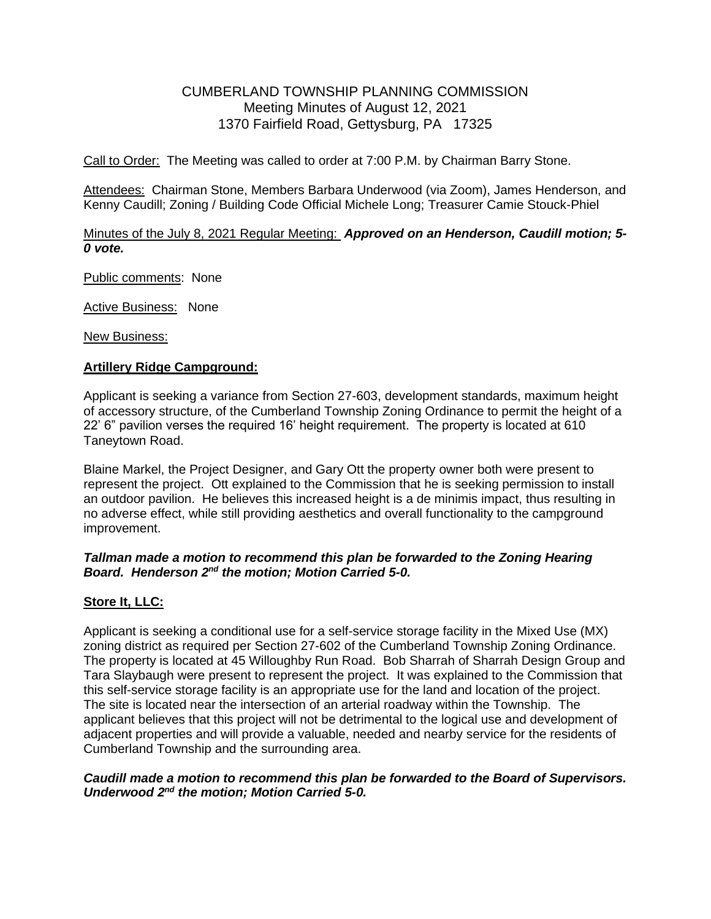# CUMBERLAND TOWNSHIP PLANNING COMMISSION Meeting Minutes of August 12, 2021 1370 Fairfield Road, Gettysburg, PA 17325

Call to Order: The Meeting was called to order at 7:00 P.M. by Chairman Barry Stone.

Attendees: Chairman Stone, Members Barbara Underwood (via Zoom), James Henderson, and Kenny Caudill; Zoning / Building Code Official Michele Long; Treasurer Camie Stouck-Phiel

### Minutes of the July 8, 2021 Regular Meeting: *Approved on an Henderson, Caudill motion; 5- 0 vote.*

Public comments: None

Active Business: None

New Business:

#### **Artillery Ridge Campground:**

Applicant is seeking a variance from Section 27-603, development standards, maximum height of accessory structure, of the Cumberland Township Zoning Ordinance to permit the height of a 22' 6" pavilion verses the required 16' height requirement. The property is located at 610 Taneytown Road.

Blaine Markel, the Project Designer, and Gary Ott the property owner both were present to represent the project. Ott explained to the Commission that he is seeking permission to install an outdoor pavilion. He believes this increased height is a de minimis impact, thus resulting in no adverse effect, while still providing aesthetics and overall functionality to the campground improvement.

#### *Tallman made a motion to recommend this plan be forwarded to the Zoning Hearing*  Board. Henderson 2<sup>nd</sup> the motion; Motion Carried 5-0.

## **Store It, LLC:**

Applicant is seeking a conditional use for a self-service storage facility in the Mixed Use (MX) zoning district as required per Section 27-602 of the Cumberland Township Zoning Ordinance. The property is located at 45 Willoughby Run Road. Bob Sharrah of Sharrah Design Group and Tara Slaybaugh were present to represent the project. It was explained to the Commission that this self-service storage facility is an appropriate use for the land and location of the project. The site is located near the intersection of an arterial roadway within the Township. The applicant believes that this project will not be detrimental to the logical use and development of adjacent properties and will provide a valuable, needed and nearby service for the residents of Cumberland Township and the surrounding area.

#### *Caudill made a motion to recommend this plan be forwarded to the Board of Supervisors. Underwood 2 nd the motion; Motion Carried 5-0.*